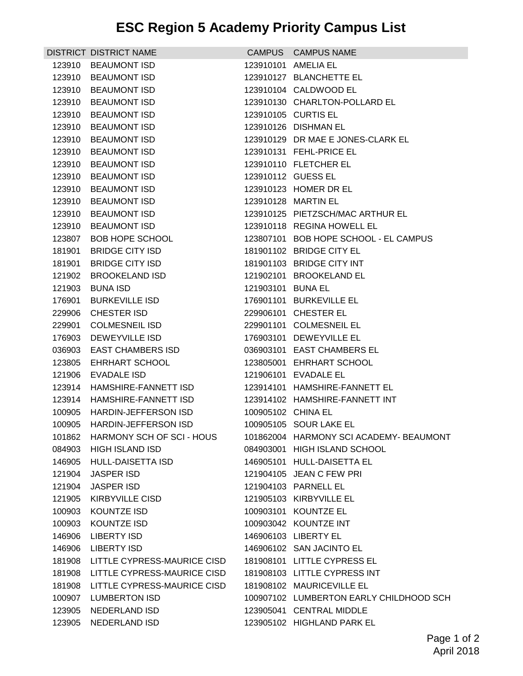## **ESC Region 5 Academy Priority Campus List**

|        | DISTRICT DISTRICT NAME             |                    | CAMPUS CAMPUS NAME                      |
|--------|------------------------------------|--------------------|-----------------------------------------|
| 123910 | <b>BEAUMONT ISD</b>                |                    | 123910101 AMELIA EL                     |
|        | 123910 BEAUMONT ISD                |                    | 123910127 BLANCHETTE EL                 |
|        | 123910 BEAUMONT ISD                |                    | 123910104 CALDWOOD EL                   |
|        | 123910 BEAUMONT ISD                |                    | 123910130 CHARLTON-POLLARD EL           |
|        | 123910 BEAUMONT ISD                |                    | 123910105 CURTIS EL                     |
| 123910 | <b>BEAUMONT ISD</b>                |                    | 123910126 DISHMAN EL                    |
| 123910 | <b>BEAUMONT ISD</b>                |                    | 123910129 DR MAE E JONES-CLARK EL       |
|        | 123910 BEAUMONT ISD                |                    | 123910131 FEHL-PRICE EL                 |
|        | 123910 BEAUMONT ISD                |                    | 123910110 FLETCHER EL                   |
|        | 123910 BEAUMONT ISD                |                    | 123910112 GUESS EL                      |
| 123910 | <b>BEAUMONT ISD</b>                |                    | 123910123 HOMER DR EL                   |
|        | 123910 BEAUMONT ISD                |                    | 123910128 MARTIN EL                     |
|        | 123910 BEAUMONT ISD                |                    | 123910125 PIETZSCH/MAC ARTHUR EL        |
|        | 123910 BEAUMONT ISD                |                    | 123910118 REGINA HOWELL EL              |
| 123807 | <b>BOB HOPE SCHOOL</b>             |                    | 123807101 BOB HOPE SCHOOL - EL CAMPUS   |
| 181901 | <b>BRIDGE CITY ISD</b>             |                    | 181901102 BRIDGE CITY EL                |
| 181901 | <b>BRIDGE CITY ISD</b>             |                    | 181901103 BRIDGE CITY INT               |
| 121902 | <b>BROOKELAND ISD</b>              |                    | 121902101 BROOKELAND EL                 |
|        | 121903 BUNA ISD                    | 121903101 BUNA EL  |                                         |
| 176901 | <b>BURKEVILLE ISD</b>              |                    | 176901101 BURKEVILLE EL                 |
| 229906 | <b>CHESTER ISD</b>                 |                    | 229906101 CHESTER EL                    |
|        | 229901 COLMESNEIL ISD              |                    | 229901101 COLMESNEIL EL                 |
|        | 176903 DEWEYVILLE ISD              |                    | 176903101 DEWEYVILLE EL                 |
|        | 036903 EAST CHAMBERS ISD           |                    | 036903101 EAST CHAMBERS EL              |
| 123805 | EHRHART SCHOOL                     |                    | 123805001 EHRHART SCHOOL                |
| 121906 | EVADALE ISD                        |                    | 121906101 EVADALE EL                    |
|        | 123914 HAMSHIRE-FANNETT ISD        |                    | 123914101 HAMSHIRE-FANNETT EL           |
| 123914 | HAMSHIRE-FANNETT ISD               |                    | 123914102 HAMSHIRE-FANNETT INT          |
|        | 100905 HARDIN-JEFFERSON ISD        | 100905102 CHINA EL |                                         |
|        | 100905 HARDIN-JEFFERSON ISD        |                    | 100905105 SOUR LAKE EL                  |
|        | 101862 HARMONY SCH OF SCI-HOUS     |                    | 101862004 HARMONY SCI ACADEMY- BEAUMONT |
| 084903 | <b>HIGH ISLAND ISD</b>             |                    | 084903001 HIGH ISLAND SCHOOL            |
| 146905 | HULL-DAISETTA ISD                  |                    | 146905101 HULL-DAISETTA EL              |
| 121904 | <b>JASPER ISD</b>                  |                    | 121904105 JEAN C FEW PRI                |
| 121904 | <b>JASPER ISD</b>                  |                    | 121904103 PARNELL EL                    |
|        | 121905 KIRBYVILLE CISD             |                    | 121905103 KIRBYVILLE EL                 |
| 100903 | <b>KOUNTZE ISD</b>                 |                    | 100903101 KOUNTZE EL                    |
| 100903 | <b>KOUNTZE ISD</b>                 |                    | 100903042 KOUNTZE INT                   |
| 146906 | <b>LIBERTY ISD</b>                 |                    | 146906103 LIBERTY EL                    |
|        | 146906 LIBERTY ISD                 |                    | 146906102 SAN JACINTO EL                |
|        | 181908 LITTLE CYPRESS-MAURICE CISD |                    | 181908101 LITTLE CYPRESS EL             |
| 181908 | LITTLE CYPRESS-MAURICE CISD        |                    | 181908103 LITTLE CYPRESS INT            |
| 181908 | LITTLE CYPRESS-MAURICE CISD        |                    | 181908102 MAURICEVILLE EL               |
| 100907 | <b>LUMBERTON ISD</b>               |                    | 100907102 LUMBERTON EARLY CHILDHOOD SCH |
| 123905 | <b>NEDERLAND ISD</b>               |                    | 123905041 CENTRAL MIDDLE                |
| 123905 | <b>NEDERLAND ISD</b>               |                    | 123905102 HIGHLAND PARK EL              |